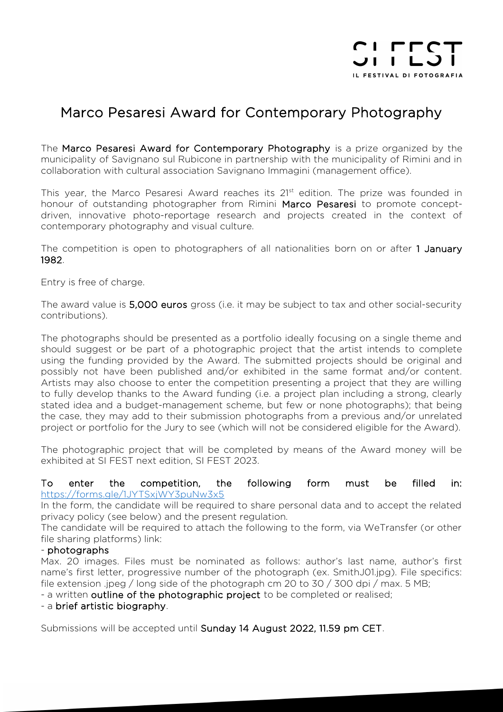

# Marco Pesaresi Award for Contemporary Photography

The Marco Pesaresi Award for Contemporary Photography is a prize organized by the municipality of Savignano sul Rubicone in partnership with the municipality of Rimini and in collaboration with cultural association Savignano Immagini (management office).

This year, the Marco Pesaresi Award reaches its 21<sup>st</sup> edition. The prize was founded in honour of outstanding photographer from Rimini Marco Pesaresi to promote conceptdriven, innovative photo-reportage research and projects created in the context of contemporary photography and visual culture.

The competition is open to photographers of all nationalities born on or after 1 January 1982.

Entry is free of charge.

The award value is 5,000 euros gross (i.e. it may be subject to tax and other social-security contributions).

The photographs should be presented as a portfolio ideally focusing on a single theme and should suggest or be part of a photographic project that the artist intends to complete using the funding provided by the Award. The submitted projects should be original and possibly not have been published and/or exhibited in the same format and/or content. Artists may also choose to enter the competition presenting a project that they are willing to fully develop thanks to the Award funding (i.e. a project plan including a strong, clearly stated idea and a budget-management scheme, but few or none photographs); that being the case, they may add to their submission photographs from a previous and/or unrelated project or portfolio for the Jury to see (which will not be considered eligible for the Award).

The photographic project that will be completed by means of the Award money will be exhibited at SI FEST next edition, SI FEST 2023.

#### To enter the competition, the following form must be filled in: <https://forms.gle/1JYTSxjWY3puNw3x5>

In the form, the candidate will be required to share personal data and to accept the related privacy policy (see below) and the present regulation.

The candidate will be required to attach the following to the form, via WeTransfer (or other file sharing platforms) link:

## - photographs

Max. 20 images. Files must be nominated as follows: author's last name, author's first name's first letter, progressive number of the photograph (ex. SmithJ01.jpg). File specifics: file extension .jpeg / long side of the photograph cm 20 to 30 / 300 dpi / max. 5 MB;

- a written outline of the photographic project to be completed or realised;

- a brief artistic biography.

Submissions will be accepted until Sunday 14 August 2022, 11.59 pm CET.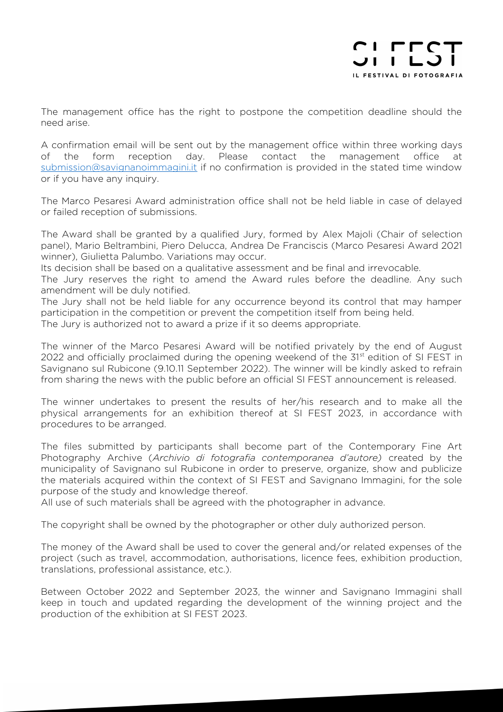

The management office has the right to postpone the competition deadline should the need arise.

A confirmation email will be sent out by the management office within three working days of the form reception day. Please contact the management office at [submission@savignanoimmagini.it](mailto:submission@savignanoimmagini.it) if no confirmation is provided in the stated time window or if you have any inquiry.

The Marco Pesaresi Award administration office shall not be held liable in case of delayed or failed reception of submissions.

The Award shall be granted by a qualified Jury, formed by Alex Majoli (Chair of selection panel), Mario Beltrambini, Piero Delucca, Andrea De Franciscis (Marco Pesaresi Award 2021 winner), Giulietta Palumbo. Variations may occur.

Its decision shall be based on a qualitative assessment and be final and irrevocable.

The Jury reserves the right to amend the Award rules before the deadline. Any such amendment will be duly notified.

The Jury shall not be held liable for any occurrence beyond its control that may hamper participation in the competition or prevent the competition itself from being held. The Jury is authorized not to award a prize if it so deems appropriate.

The winner of the Marco Pesaresi Award will be notified privately by the end of August

2022 and officially proclaimed during the opening weekend of the 31<sup>st</sup> edition of SI FEST in Savignano sul Rubicone (9.10.11 September 2022). The winner will be kindly asked to refrain from sharing the news with the public before an official SI FEST announcement is released.

The winner undertakes to present the results of her/his research and to make all the physical arrangements for an exhibition thereof at SI FEST 2023, in accordance with procedures to be arranged.

The files submitted by participants shall become part of the Contemporary Fine Art Photography Archive (*Archivio di fotografia contemporanea d'autore)* created by the municipality of Savignano sul Rubicone in order to preserve, organize, show and publicize the materials acquired within the context of SI FEST and Savignano Immagini, for the sole purpose of the study and knowledge thereof.

All use of such materials shall be agreed with the photographer in advance.

The copyright shall be owned by the photographer or other duly authorized person.

The money of the Award shall be used to cover the general and/or related expenses of the project (such as travel, accommodation, authorisations, licence fees, exhibition production, translations, professional assistance, etc.).

Between October 2022 and September 2023, the winner and Savignano Immagini shall keep in touch and updated regarding the development of the winning project and the production of the exhibition at SI FEST 2023.